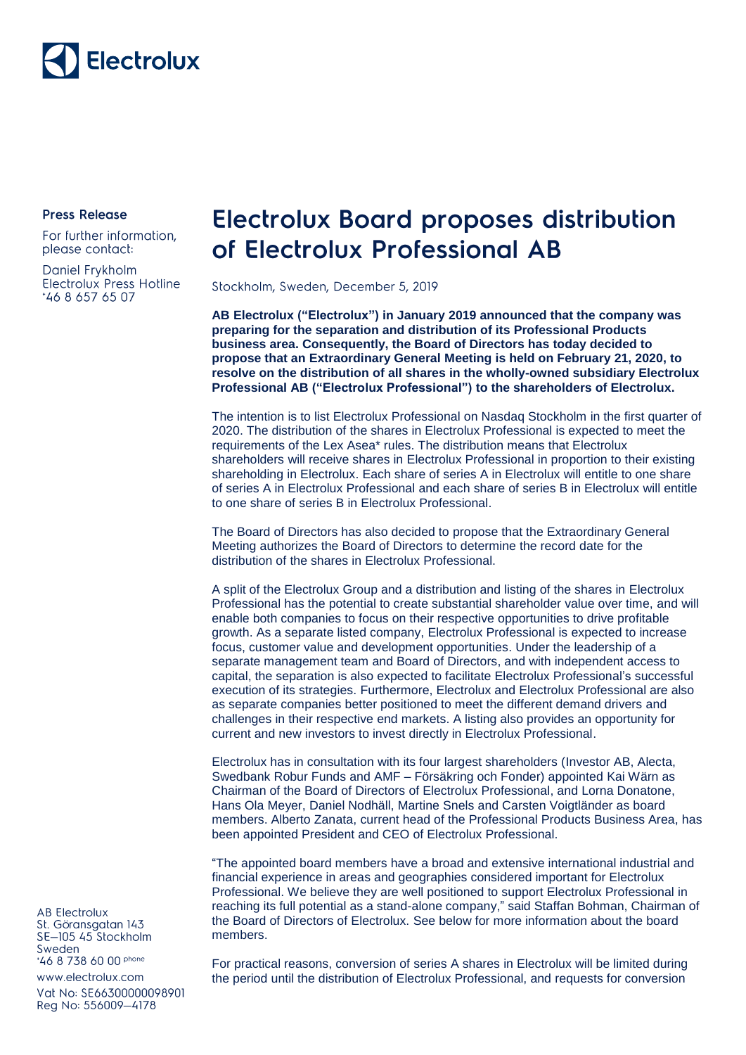

**Press Release** 

For further information, please contact:

Daniel Frykholm Electrolux Press Hotline \*46 8 657 65 07

## **Electrolux Board proposes distribution** of Electrolux Professional AB

Stockholm, Sweden, December 5, 2019

**AB Electrolux ("Electrolux") in January 2019 announced that the company was preparing for the separation and distribution of its Professional Products business area. Consequently, the Board of Directors has today decided to propose that an Extraordinary General Meeting is held on February 21, 2020, to resolve on the distribution of all shares in the wholly-owned subsidiary Electrolux Professional AB ("Electrolux Professional") to the shareholders of Electrolux.**

The intention is to list Electrolux Professional on Nasdaq Stockholm in the first quarter of 2020. The distribution of the shares in Electrolux Professional is expected to meet the requirements of the Lex Asea\* rules. The distribution means that Electrolux shareholders will receive shares in Electrolux Professional in proportion to their existing shareholding in Electrolux. Each share of series A in Electrolux will entitle to one share of series A in Electrolux Professional and each share of series B in Electrolux will entitle to one share of series B in Electrolux Professional.

The Board of Directors has also decided to propose that the Extraordinary General Meeting authorizes the Board of Directors to determine the record date for the distribution of the shares in Electrolux Professional.

A split of the Electrolux Group and a distribution and listing of the shares in Electrolux Professional has the potential to create substantial shareholder value over time, and will enable both companies to focus on their respective opportunities to drive profitable growth. As a separate listed company, Electrolux Professional is expected to increase focus, customer value and development opportunities. Under the leadership of a separate management team and Board of Directors, and with independent access to capital, the separation is also expected to facilitate Electrolux Professional's successful execution of its strategies. Furthermore, Electrolux and Electrolux Professional are also as separate companies better positioned to meet the different demand drivers and challenges in their respective end markets. A listing also provides an opportunity for current and new investors to invest directly in Electrolux Professional.

Electrolux has in consultation with its four largest shareholders (Investor AB, Alecta, Swedbank Robur Funds and AMF – Försäkring och Fonder) appointed Kai Wärn as Chairman of the Board of Directors of Electrolux Professional, and Lorna Donatone, Hans Ola Meyer, Daniel Nodhäll, Martine Snels and Carsten Voigtländer as board members. Alberto Zanata, current head of the Professional Products Business Area, has been appointed President and CEO of Electrolux Professional.

"The appointed board members have a broad and extensive international industrial and financial experience in areas and geographies considered important for Electrolux Professional. We believe they are well positioned to support Electrolux Professional in reaching its full potential as a stand-alone company," said Staffan Bohman, Chairman of the Board of Directors of Electrolux. See below for more information about the board members.

For practical reasons, conversion of series A shares in Electrolux will be limited during the period until the distribution of Electrolux Professional, and requests for conversion

**AB Electrolux** St. Göransgatan 143 SE-105 45 Stockholm Sweden \*46 8 738 60 00 phone

www.electrolux.com

Vat No: SE66300000098901 Reg No: 556009-4178